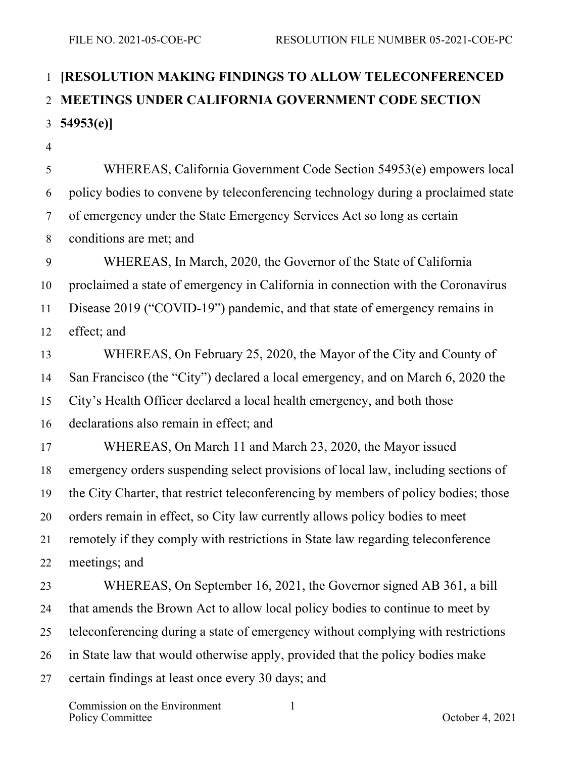## **[RESOLUTION MAKING FINDINGS TO ALLOW TELECONFERENCED MEETINGS UNDER CALIFORNIA GOVERNMENT CODE SECTION 54953(e)]**

 WHEREAS, California Government Code Section 54953(e) empowers local policy bodies to convene by teleconferencing technology during a proclaimed state of emergency under the State Emergency Services Act so long as certain conditions are met; and WHEREAS, In March, 2020, the Governor of the State of California proclaimed a state of emergency in California in connection with the Coronavirus Disease 2019 ("COVID-19") pandemic, and that state of emergency remains in effect; and WHEREAS, On February 25, 2020, the Mayor of the City and County of San Francisco (the "City") declared a local emergency, and on March 6, 2020 the City's Health Officer declared a local health emergency, and both those declarations also remain in effect; and WHEREAS, On March 11 and March 23, 2020, the Mayor issued emergency orders suspending select provisions of local law, including sections of the City Charter, that restrict teleconferencing by members of policy bodies; those orders remain in effect, so City law currently allows policy bodies to meet remotely if they comply with restrictions in State law regarding teleconference meetings; and WHEREAS, On September 16, 2021, the Governor signed AB 361, a bill that amends the Brown Act to allow local policy bodies to continue to meet by teleconferencing during a state of emergency without complying with restrictions in State law that would otherwise apply, provided that the policy bodies make certain findings at least once every 30 days; and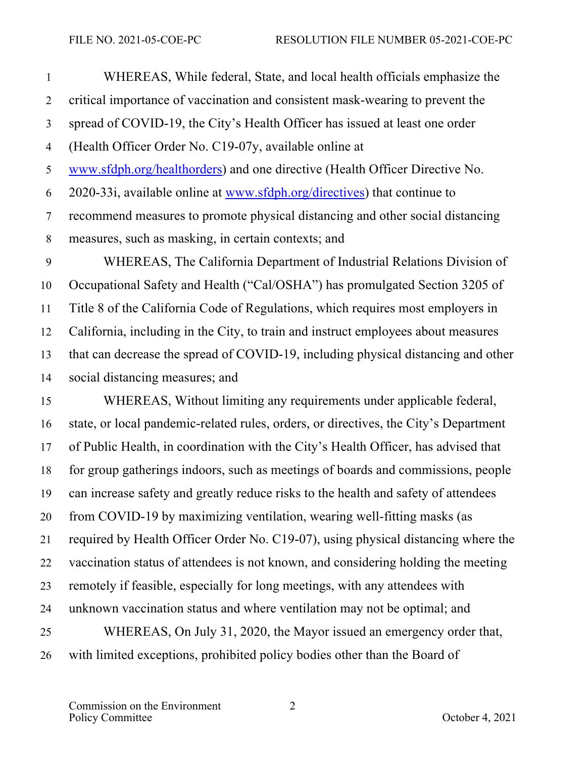WHEREAS, While federal, State, and local health officials emphasize the critical importance of vaccination and consistent mask-wearing to prevent the spread of COVID-19, the City's Health Officer has issued at least one order (Health Officer Order No. C19-07y, available online at www.sfdph.org/healthorders) and one directive (Health Officer Directive No. 2020-33i, available online at www.sfdph.org/directives) that continue to recommend measures to promote physical distancing and other social distancing measures, such as masking, in certain contexts; and WHEREAS, The California Department of Industrial Relations Division of Occupational Safety and Health ("Cal/OSHA") has promulgated Section 3205 of Title 8 of the California Code of Regulations, which requires most employers in California, including in the City, to train and instruct employees about measures that can decrease the spread of COVID-19, including physical distancing and other social distancing measures; and

 WHEREAS, Without limiting any requirements under applicable federal, state, or local pandemic-related rules, orders, or directives, the City's Department of Public Health, in coordination with the City's Health Officer, has advised that for group gatherings indoors, such as meetings of boards and commissions, people can increase safety and greatly reduce risks to the health and safety of attendees from COVID-19 by maximizing ventilation, wearing well-fitting masks (as required by Health Officer Order No. C19-07), using physical distancing where the vaccination status of attendees is not known, and considering holding the meeting remotely if feasible, especially for long meetings, with any attendees with unknown vaccination status and where ventilation may not be optimal; and WHEREAS, On July 31, 2020, the Mayor issued an emergency order that, with limited exceptions, prohibited policy bodies other than the Board of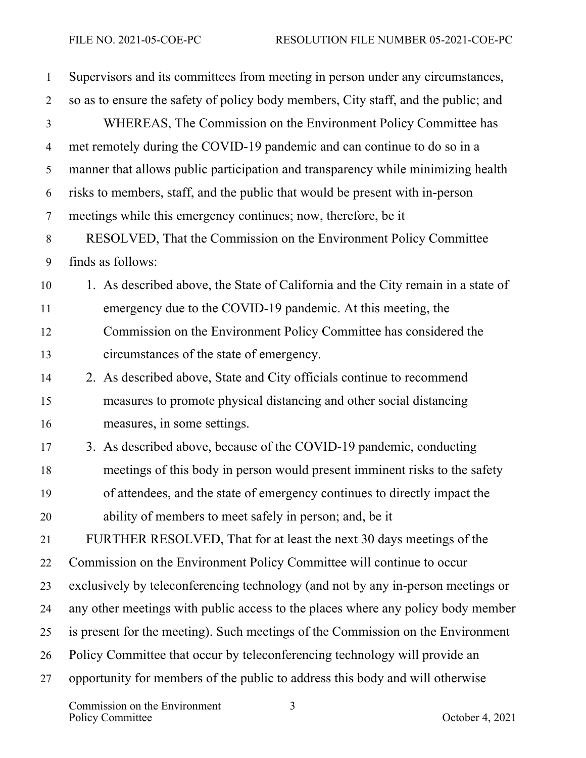| $\mathbf{1}$   | Supervisors and its committees from meeting in person under any circumstances,     |
|----------------|------------------------------------------------------------------------------------|
| $\overline{2}$ | so as to ensure the safety of policy body members, City staff, and the public; and |
| 3              | WHEREAS, The Commission on the Environment Policy Committee has                    |
| $\overline{4}$ | met remotely during the COVID-19 pandemic and can continue to do so in a           |
| 5              | manner that allows public participation and transparency while minimizing health   |
| 6              | risks to members, staff, and the public that would be present with in-person       |
| $\tau$         | meetings while this emergency continues; now, therefore, be it                     |
| $8\,$          | RESOLVED, That the Commission on the Environment Policy Committee                  |
| 9              | finds as follows:                                                                  |
| 10             | 1. As described above, the State of California and the City remain in a state of   |
| 11             | emergency due to the COVID-19 pandemic. At this meeting, the                       |
| 12             | Commission on the Environment Policy Committee has considered the                  |
| 13             | circumstances of the state of emergency.                                           |
| 14             | 2. As described above, State and City officials continue to recommend              |
| 15             | measures to promote physical distancing and other social distancing                |
| 16             | measures, in some settings.                                                        |
| 17             | 3. As described above, because of the COVID-19 pandemic, conducting                |
| 18             | meetings of this body in person would present imminent risks to the safety         |
| 19             | of attendees, and the state of emergency continues to directly impact the          |
| 20             | ability of members to meet safely in person; and, be it                            |
| 21             | FURTHER RESOLVED, That for at least the next 30 days meetings of the               |
| 22             | Commission on the Environment Policy Committee will continue to occur              |
| 23             | exclusively by teleconferencing technology (and not by any in-person meetings or   |
| 24             | any other meetings with public access to the places where any policy body member   |
| 25             | is present for the meeting). Such meetings of the Commission on the Environment    |
| 26             | Policy Committee that occur by teleconferencing technology will provide an         |
| 27             | opportunity for members of the public to address this body and will otherwise      |

Commission on the Environment Policy Committee Definition of the Environment.